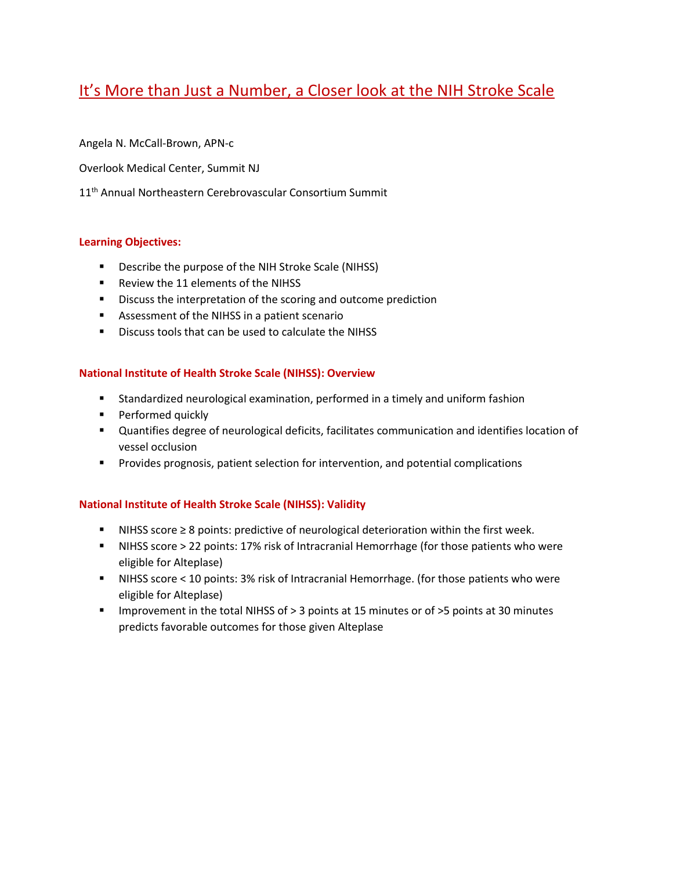# It's More than Just a Number, a Closer look at the NIH Stroke Scale

Angela N. McCall-Brown, APN-c

Overlook Medical Center, Summit NJ

11<sup>th</sup> Annual Northeastern Cerebrovascular Consortium Summit

# **Learning Objectives:**

- **Describe the purpose of the NIH Stroke Scale (NIHSS)**
- Review the 11 elements of the NIHSS
- **Discuss the interpretation of the scoring and outcome prediction**
- Assessment of the NIHSS in a patient scenario
- **Discuss tools that can be used to calculate the NIHSS**

### **National Institute of Health Stroke Scale (NIHSS): Overview**

- Standardized neurological examination, performed in a timely and uniform fashion
- **Performed quickly**
- Quantifies degree of neurological deficits, facilitates communication and identifies location of vessel occlusion
- **Provides prognosis, patient selection for intervention, and potential complications**

### **National Institute of Health Stroke Scale (NIHSS): Validity**

- NIHSS score ≥ 8 points: predictive of neurological deterioration within the first week.
- NIHSS score > 22 points: 17% risk of Intracranial Hemorrhage (for those patients who were eligible for Alteplase)
- NIHSS score < 10 points: 3% risk of Intracranial Hemorrhage. (for those patients who were eligible for Alteplase)
- Improvement in the total NIHSS of > 3 points at 15 minutes or of >5 points at 30 minutes predicts favorable outcomes for those given Alteplase